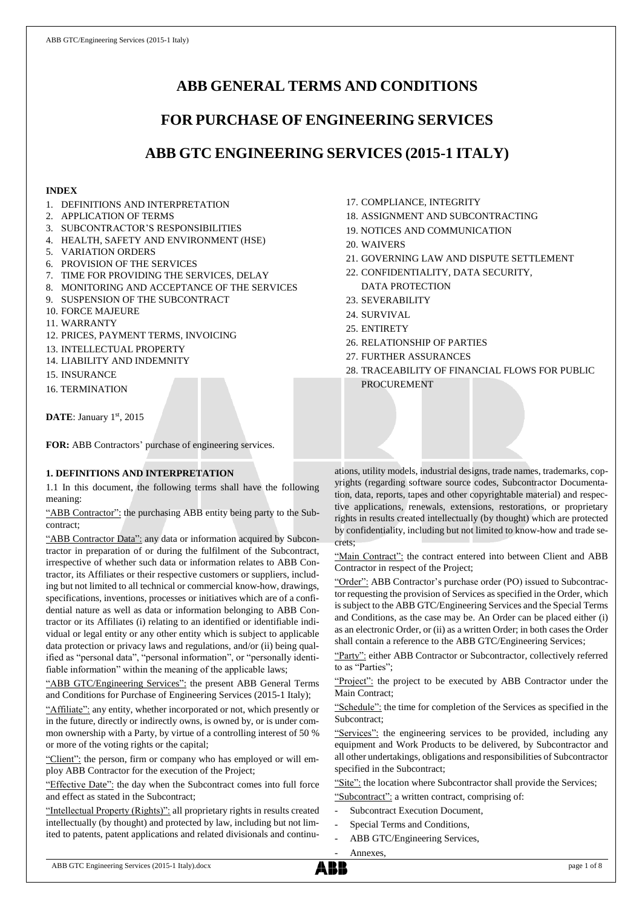# **ABB GENERAL TERMS AND CONDITIONS**

# **FOR PURCHASE OF ENGINEERING SERVICES**

# **ABB GTC ENGINEERING SERVICES (2015-1 ITALY)**

## **INDEX**

- 1. DEFINITIONS AND INTERPRETATION
- 2. APPLICATION OF TERMS
- 3. SUBCONTRACTOR'S RESPONSIBILITIES
- 4. HEALTH, SAFETY AND ENVIRONMENT (HSE)
- 5. VARIATION ORDERS
- 6. PROVISION OF THE SERVICES
- 7. TIME FOR PROVIDING THE SERVICES, DELAY
- 8. MONITORING AND ACCEPTANCE OF THE SERVICES
- 9. SUSPENSION OF THE SUBCONTRACT
- 10. FORCE MAJEURE
- 11. WARRANTY
- 12. PRICES, PAYMENT TERMS, INVOICING
- 13. INTELLECTUAL PROPERTY
- 14. LIABILITY AND INDEMNITY
- 15. INSURANCE
- 16. TERMINATION

DATE: January 1st, 2015

**FOR:** ABB Contractors' purchase of engineering services.

# **1. DEFINITIONS AND INTERPRETATION**

1.1 In this document, the following terms shall have the following meaning:

"ABB Contractor": the purchasing ABB entity being party to the Subcontract;

"ABB Contractor Data": any data or information acquired by Subcontractor in preparation of or during the fulfilment of the Subcontract, irrespective of whether such data or information relates to ABB Contractor, its Affiliates or their respective customers or suppliers, including but not limited to all technical or commercial know-how, drawings, specifications, inventions, processes or initiatives which are of a confidential nature as well as data or information belonging to ABB Contractor or its Affiliates (i) relating to an identified or identifiable individual or legal entity or any other entity which is subject to applicable data protection or privacy laws and regulations, and/or (ii) being qualified as "personal data", "personal information", or "personally identifiable information" within the meaning of the applicable laws;

"ABB GTC/Engineering Services": the present ABB General Terms and Conditions for Purchase of Engineering Services (2015-1 Italy);

"Affiliate": any entity, whether incorporated or not, which presently or in the future, directly or indirectly owns, is owned by, or is under common ownership with a Party, by virtue of a controlling interest of 50 % or more of the voting rights or the capital;

"Client": the person, firm or company who has employed or will employ ABB Contractor for the execution of the Project;

"Effective Date": the day when the Subcontract comes into full force and effect as stated in the Subcontract;

"Intellectual Property (Rights)": all proprietary rights in results created intellectually (by thought) and protected by law, including but not limited to patents, patent applications and related divisionals and continu-

- 17. COMPLIANCE, INTEGRITY
- 18. ASSIGNMENT AND SUBCONTRACTING
- 19. NOTICES AND COMMUNICATION
- 20. WAIVERS
- 21. GOVERNING LAW AND DISPUTE SETTLEMENT
- 22. CONFIDENTIALITY, DATA SECURITY, DATA PROTECTION
- 23. SEVERABILITY
- 24. SURVIVAL
- 25. ENTIRETY
- 26. RELATIONSHIP OF PARTIES
- 27. FURTHER ASSURANCES
- 28. TRACEABILITY OF FINANCIAL FLOWS FOR PUBLIC PROCUREMENT

ations, utility models, industrial designs, trade names, trademarks, copyrights (regarding software source codes, Subcontractor Documentation, data, reports, tapes and other copyrightable material) and respective applications, renewals, extensions, restorations, or proprietary rights in results created intellectually (by thought) which are protected by confidentiality, including but not limited to know-how and trade secrets;

"Main Contract": the contract entered into between Client and ABB Contractor in respect of the Project;

"Order": ABB Contractor's purchase order (PO) issued to Subcontractor requesting the provision of Services as specified in the Order, which is subject to the ABB GTC/Engineering Services and the Special Terms and Conditions, as the case may be. An Order can be placed either (i) as an electronic Order, or (ii) as a written Order; in both cases the Order shall contain a reference to the ABB GTC/Engineering Services;

"Party": either ABB Contractor or Subcontractor, collectively referred to as "Parties";

"Project": the project to be executed by ABB Contractor under the Main Contract;

"Schedule": the time for completion of the Services as specified in the Subcontract;

"Services": the engineering services to be provided, including any equipment and Work Products to be delivered, by Subcontractor and all other undertakings, obligations and responsibilities of Subcontractor specified in the Subcontract;

"Site": the location where Subcontractor shall provide the Services; "Subcontract": a written contract, comprising of:

- Subcontract Execution Document,
- Special Terms and Conditions,
- 

Annexes,

ABB GTC/Engineering Services,

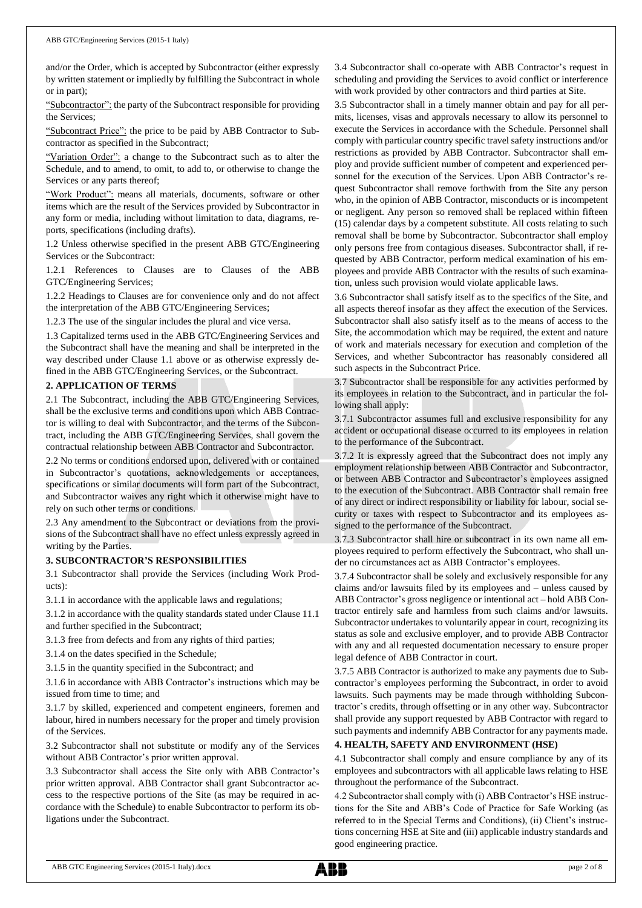and/or the Order, which is accepted by Subcontractor (either expressly by written statement or impliedly by fulfilling the Subcontract in whole or in part);

"Subcontractor": the party of the Subcontract responsible for providing the Services;

"Subcontract Price": the price to be paid by ABB Contractor to Subcontractor as specified in the Subcontract;

"Variation Order": a change to the Subcontract such as to alter the Schedule, and to amend, to omit, to add to, or otherwise to change the Services or any parts thereof;

"Work Product": means all materials, documents, software or other items which are the result of the Services provided by Subcontractor in any form or media, including without limitation to data, diagrams, reports, specifications (including drafts).

1.2 Unless otherwise specified in the present ABB GTC/Engineering Services or the Subcontract:

1.2.1 References to Clauses are to Clauses of the ABB GTC/Engineering Services;

1.2.2 Headings to Clauses are for convenience only and do not affect the interpretation of the ABB GTC/Engineering Services;

1.2.3 The use of the singular includes the plural and vice versa.

1.3 Capitalized terms used in the ABB GTC/Engineering Services and the Subcontract shall have the meaning and shall be interpreted in the way described under Clause 1.1 above or as otherwise expressly defined in the ABB GTC/Engineering Services, or the Subcontract.

## **2. APPLICATION OF TERMS**

2.1 The Subcontract, including the ABB GTC/Engineering Services, shall be the exclusive terms and conditions upon which ABB Contractor is willing to deal with Subcontractor, and the terms of the Subcontract, including the ABB GTC/Engineering Services, shall govern the contractual relationship between ABB Contractor and Subcontractor.

2.2 No terms or conditions endorsed upon, delivered with or contained in Subcontractor's quotations, acknowledgements or acceptances, specifications or similar documents will form part of the Subcontract, and Subcontractor waives any right which it otherwise might have to rely on such other terms or conditions.

2.3 Any amendment to the Subcontract or deviations from the provisions of the Subcontract shall have no effect unless expressly agreed in writing by the Parties.

## **3. SUBCONTRACTOR'S RESPONSIBILITIES**

3.1 Subcontractor shall provide the Services (including Work Products):

3.1.1 in accordance with the applicable laws and regulations;

3.1.2 in accordance with the quality standards stated under Clause 11.1 and further specified in the Subcontract;

3.1.3 free from defects and from any rights of third parties;

3.1.4 on the dates specified in the Schedule;

3.1.5 in the quantity specified in the Subcontract; and

3.1.6 in accordance with ABB Contractor's instructions which may be issued from time to time; and

3.1.7 by skilled, experienced and competent engineers, foremen and labour, hired in numbers necessary for the proper and timely provision of the Services.

3.2 Subcontractor shall not substitute or modify any of the Services without ABB Contractor's prior written approval.

3.3 Subcontractor shall access the Site only with ABB Contractor's prior written approval. ABB Contractor shall grant Subcontractor access to the respective portions of the Site (as may be required in accordance with the Schedule) to enable Subcontractor to perform its obligations under the Subcontract.

3.4 Subcontractor shall co-operate with ABB Contractor's request in scheduling and providing the Services to avoid conflict or interference with work provided by other contractors and third parties at Site.

3.5 Subcontractor shall in a timely manner obtain and pay for all permits, licenses, visas and approvals necessary to allow its personnel to execute the Services in accordance with the Schedule. Personnel shall comply with particular country specific travel safety instructions and/or restrictions as provided by ABB Contractor. Subcontractor shall employ and provide sufficient number of competent and experienced personnel for the execution of the Services. Upon ABB Contractor's request Subcontractor shall remove forthwith from the Site any person who, in the opinion of ABB Contractor, misconducts or is incompetent or negligent. Any person so removed shall be replaced within fifteen (15) calendar days by a competent substitute. All costs relating to such removal shall be borne by Subcontractor. Subcontractor shall employ only persons free from contagious diseases. Subcontractor shall, if requested by ABB Contractor, perform medical examination of his employees and provide ABB Contractor with the results of such examination, unless such provision would violate applicable laws.

3.6 Subcontractor shall satisfy itself as to the specifics of the Site, and all aspects thereof insofar as they affect the execution of the Services. Subcontractor shall also satisfy itself as to the means of access to the Site, the accommodation which may be required, the extent and nature of work and materials necessary for execution and completion of the Services, and whether Subcontractor has reasonably considered all such aspects in the Subcontract Price.

3.7 Subcontractor shall be responsible for any activities performed by its employees in relation to the Subcontract, and in particular the following shall apply:

3.7.1 Subcontractor assumes full and exclusive responsibility for any accident or occupational disease occurred to its employees in relation to the performance of the Subcontract.

3.7.2 It is expressly agreed that the Subcontract does not imply any employment relationship between ABB Contractor and Subcontractor, or between ABB Contractor and Subcontractor's employees assigned to the execution of the Subcontract. ABB Contractor shall remain free of any direct or indirect responsibility or liability for labour, social security or taxes with respect to Subcontractor and its employees assigned to the performance of the Subcontract.

3.7.3 Subcontractor shall hire or subcontract in its own name all employees required to perform effectively the Subcontract, who shall under no circumstances act as ABB Contractor's employees.

3.7.4 Subcontractor shall be solely and exclusively responsible for any claims and/or lawsuits filed by its employees and – unless caused by ABB Contractor's gross negligence or intentional act – hold ABB Contractor entirely safe and harmless from such claims and/or lawsuits. Subcontractor undertakes to voluntarily appear in court, recognizing its status as sole and exclusive employer, and to provide ABB Contractor with any and all requested documentation necessary to ensure proper legal defence of ABB Contractor in court.

3.7.5 ABB Contractor is authorized to make any payments due to Subcontractor's employees performing the Subcontract, in order to avoid lawsuits. Such payments may be made through withholding Subcontractor's credits, through offsetting or in any other way. Subcontractor shall provide any support requested by ABB Contractor with regard to such payments and indemnify ABB Contractor for any payments made.

## **4. HEALTH, SAFETY AND ENVIRONMENT (HSE)**

4.1 Subcontractor shall comply and ensure compliance by any of its employees and subcontractors with all applicable laws relating to HSE throughout the performance of the Subcontract.

4.2 Subcontractor shall comply with (i) ABB Contractor's HSE instructions for the Site and ABB's Code of Practice for Safe Working (as referred to in the Special Terms and Conditions), (ii) Client's instructions concerning HSE at Site and (iii) applicable industry standards and good engineering practice.

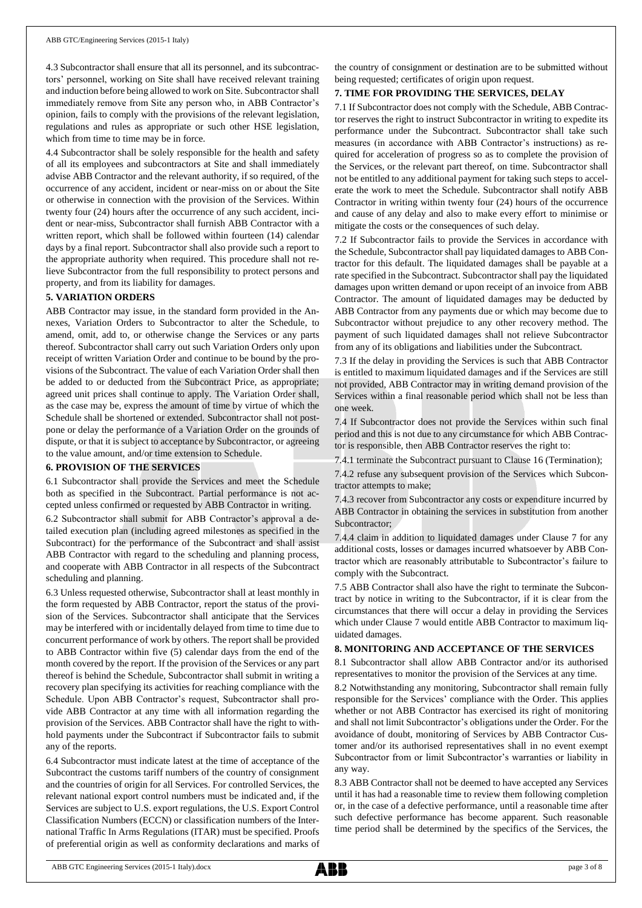4.3 Subcontractor shall ensure that all its personnel, and its subcontractors' personnel, working on Site shall have received relevant training and induction before being allowed to work on Site. Subcontractor shall immediately remove from Site any person who, in ABB Contractor's opinion, fails to comply with the provisions of the relevant legislation, regulations and rules as appropriate or such other HSE legislation, which from time to time may be in force.

4.4 Subcontractor shall be solely responsible for the health and safety of all its employees and subcontractors at Site and shall immediately advise ABB Contractor and the relevant authority, if so required, of the occurrence of any accident, incident or near-miss on or about the Site or otherwise in connection with the provision of the Services. Within twenty four (24) hours after the occurrence of any such accident, incident or near-miss, Subcontractor shall furnish ABB Contractor with a written report, which shall be followed within fourteen (14) calendar days by a final report. Subcontractor shall also provide such a report to the appropriate authority when required. This procedure shall not relieve Subcontractor from the full responsibility to protect persons and property, and from its liability for damages.

### **5. VARIATION ORDERS**

ABB Contractor may issue, in the standard form provided in the Annexes, Variation Orders to Subcontractor to alter the Schedule, to amend, omit, add to, or otherwise change the Services or any parts thereof. Subcontractor shall carry out such Variation Orders only upon receipt of written Variation Order and continue to be bound by the provisions of the Subcontract. The value of each Variation Order shall then be added to or deducted from the Subcontract Price, as appropriate; agreed unit prices shall continue to apply. The Variation Order shall, as the case may be, express the amount of time by virtue of which the Schedule shall be shortened or extended. Subcontractor shall not postpone or delay the performance of a Variation Order on the grounds of dispute, or that it is subject to acceptance by Subcontractor, or agreeing to the value amount, and/or time extension to Schedule.

## **6. PROVISION OF THE SERVICES**

6.1 Subcontractor shall provide the Services and meet the Schedule both as specified in the Subcontract. Partial performance is not accepted unless confirmed or requested by ABB Contractor in writing.

6.2 Subcontractor shall submit for ABB Contractor's approval a detailed execution plan (including agreed milestones as specified in the Subcontract) for the performance of the Subcontract and shall assist ABB Contractor with regard to the scheduling and planning process, and cooperate with ABB Contractor in all respects of the Subcontract scheduling and planning.

6.3 Unless requested otherwise, Subcontractor shall at least monthly in the form requested by ABB Contractor, report the status of the provision of the Services. Subcontractor shall anticipate that the Services may be interfered with or incidentally delayed from time to time due to concurrent performance of work by others. The report shall be provided to ABB Contractor within five (5) calendar days from the end of the month covered by the report. If the provision of the Services or any part thereof is behind the Schedule, Subcontractor shall submit in writing a recovery plan specifying its activities for reaching compliance with the Schedule. Upon ABB Contractor's request, Subcontractor shall provide ABB Contractor at any time with all information regarding the provision of the Services. ABB Contractor shall have the right to withhold payments under the Subcontract if Subcontractor fails to submit any of the reports.

6.4 Subcontractor must indicate latest at the time of acceptance of the Subcontract the customs tariff numbers of the country of consignment and the countries of origin for all Services. For controlled Services, the relevant national export control numbers must be indicated and, if the Services are subject to U.S. export regulations, the U.S. Export Control Classification Numbers (ECCN) or classification numbers of the International Traffic In Arms Regulations (ITAR) must be specified. Proofs of preferential origin as well as conformity declarations and marks of the country of consignment or destination are to be submitted without being requested; certificates of origin upon request.

## **7. TIME FOR PROVIDING THE SERVICES, DELAY**

7.1 If Subcontractor does not comply with the Schedule, ABB Contractor reserves the right to instruct Subcontractor in writing to expedite its performance under the Subcontract. Subcontractor shall take such measures (in accordance with ABB Contractor's instructions) as required for acceleration of progress so as to complete the provision of the Services, or the relevant part thereof, on time. Subcontractor shall not be entitled to any additional payment for taking such steps to accelerate the work to meet the Schedule. Subcontractor shall notify ABB Contractor in writing within twenty four (24) hours of the occurrence and cause of any delay and also to make every effort to minimise or mitigate the costs or the consequences of such delay.

7.2 If Subcontractor fails to provide the Services in accordance with the Schedule, Subcontractor shall pay liquidated damages to ABB Contractor for this default. The liquidated damages shall be payable at a rate specified in the Subcontract. Subcontractor shall pay the liquidated damages upon written demand or upon receipt of an invoice from ABB Contractor. The amount of liquidated damages may be deducted by ABB Contractor from any payments due or which may become due to Subcontractor without prejudice to any other recovery method. The payment of such liquidated damages shall not relieve Subcontractor from any of its obligations and liabilities under the Subcontract.

7.3 If the delay in providing the Services is such that ABB Contractor is entitled to maximum liquidated damages and if the Services are still not provided, ABB Contractor may in writing demand provision of the Services within a final reasonable period which shall not be less than one week.

7.4 If Subcontractor does not provide the Services within such final period and this is not due to any circumstance for which ABB Contractor is responsible, then ABB Contractor reserves the right to:

7.4.1 terminate the Subcontract pursuant to Clause 16 (Termination);

7.4.2 refuse any subsequent provision of the Services which Subcontractor attempts to make;

7.4.3 recover from Subcontractor any costs or expenditure incurred by ABB Contractor in obtaining the services in substitution from another Subcontractor;

7.4.4 claim in addition to liquidated damages under Clause 7 for any additional costs, losses or damages incurred whatsoever by ABB Contractor which are reasonably attributable to Subcontractor's failure to comply with the Subcontract.

7.5 ABB Contractor shall also have the right to terminate the Subcontract by notice in writing to the Subcontractor, if it is clear from the circumstances that there will occur a delay in providing the Services which under Clause 7 would entitle ABB Contractor to maximum liquidated damages.

## **8. MONITORING AND ACCEPTANCE OF THE SERVICES**

8.1 Subcontractor shall allow ABB Contractor and/or its authorised representatives to monitor the provision of the Services at any time.

8.2 Notwithstanding any monitoring, Subcontractor shall remain fully responsible for the Services' compliance with the Order. This applies whether or not ABB Contractor has exercised its right of monitoring and shall not limit Subcontractor's obligations under the Order. For the avoidance of doubt, monitoring of Services by ABB Contractor Customer and/or its authorised representatives shall in no event exempt Subcontractor from or limit Subcontractor's warranties or liability in any way.

8.3 ABB Contractor shall not be deemed to have accepted any Services until it has had a reasonable time to review them following completion or, in the case of a defective performance, until a reasonable time after such defective performance has become apparent. Such reasonable time period shall be determined by the specifics of the Services, the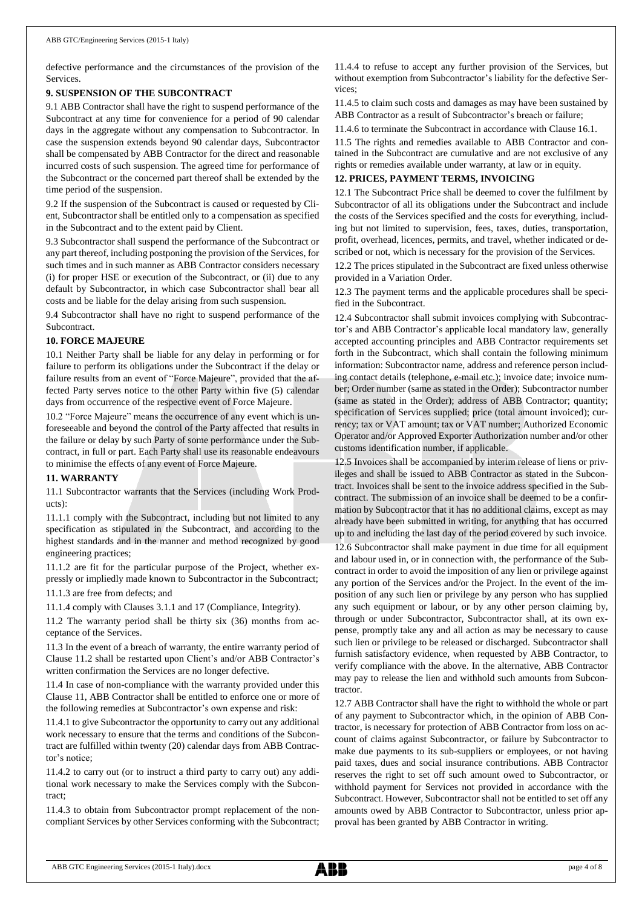defective performance and the circumstances of the provision of the Services.

## **9. SUSPENSION OF THE SUBCONTRACT**

9.1 ABB Contractor shall have the right to suspend performance of the Subcontract at any time for convenience for a period of 90 calendar days in the aggregate without any compensation to Subcontractor. In case the suspension extends beyond 90 calendar days, Subcontractor shall be compensated by ABB Contractor for the direct and reasonable incurred costs of such suspension. The agreed time for performance of the Subcontract or the concerned part thereof shall be extended by the time period of the suspension.

9.2 If the suspension of the Subcontract is caused or requested by Client, Subcontractor shall be entitled only to a compensation as specified in the Subcontract and to the extent paid by Client.

9.3 Subcontractor shall suspend the performance of the Subcontract or any part thereof, including postponing the provision of the Services, for such times and in such manner as ABB Contractor considers necessary (i) for proper HSE or execution of the Subcontract, or (ii) due to any default by Subcontractor, in which case Subcontractor shall bear all costs and be liable for the delay arising from such suspension.

9.4 Subcontractor shall have no right to suspend performance of the Subcontract.

### **10. FORCE MAJEURE**

10.1 Neither Party shall be liable for any delay in performing or for failure to perform its obligations under the Subcontract if the delay or failure results from an event of "Force Majeure", provided that the affected Party serves notice to the other Party within five (5) calendar days from occurrence of the respective event of Force Majeure.

10.2 "Force Majeure" means the occurrence of any event which is unforeseeable and beyond the control of the Party affected that results in the failure or delay by such Party of some performance under the Subcontract, in full or part. Each Party shall use its reasonable endeavours to minimise the effects of any event of Force Majeure.

#### **11. WARRANTY**

11.1 Subcontractor warrants that the Services (including Work Products):

11.1.1 comply with the Subcontract, including but not limited to any specification as stipulated in the Subcontract, and according to the highest standards and in the manner and method recognized by good engineering practices;

11.1.2 are fit for the particular purpose of the Project, whether expressly or impliedly made known to Subcontractor in the Subcontract;

11.1.3 are free from defects; and

11.1.4 comply with Clauses 3.1.1 and 17 (Compliance, Integrity).

11.2 The warranty period shall be thirty six (36) months from acceptance of the Services.

11.3 In the event of a breach of warranty, the entire warranty period of Clause 11.2 shall be restarted upon Client's and/or ABB Contractor's written confirmation the Services are no longer defective.

11.4 In case of non-compliance with the warranty provided under this Clause 11, ABB Contractor shall be entitled to enforce one or more of the following remedies at Subcontractor's own expense and risk:

11.4.1 to give Subcontractor the opportunity to carry out any additional work necessary to ensure that the terms and conditions of the Subcontract are fulfilled within twenty (20) calendar days from ABB Contractor's notice;

11.4.2 to carry out (or to instruct a third party to carry out) any additional work necessary to make the Services comply with the Subcontract;

11.4.3 to obtain from Subcontractor prompt replacement of the noncompliant Services by other Services conforming with the Subcontract; 11.4.4 to refuse to accept any further provision of the Services, but without exemption from Subcontractor's liability for the defective Services;

11.4.5 to claim such costs and damages as may have been sustained by ABB Contractor as a result of Subcontractor's breach or failure;

11.4.6 to terminate the Subcontract in accordance with Clause 16.1.

11.5 The rights and remedies available to ABB Contractor and contained in the Subcontract are cumulative and are not exclusive of any rights or remedies available under warranty, at law or in equity.

## **12. PRICES, PAYMENT TERMS, INVOICING**

12.1 The Subcontract Price shall be deemed to cover the fulfilment by Subcontractor of all its obligations under the Subcontract and include the costs of the Services specified and the costs for everything, including but not limited to supervision, fees, taxes, duties, transportation, profit, overhead, licences, permits, and travel, whether indicated or described or not, which is necessary for the provision of the Services.

12.2 The prices stipulated in the Subcontract are fixed unless otherwise provided in a Variation Order.

12.3 The payment terms and the applicable procedures shall be specified in the Subcontract.

12.4 Subcontractor shall submit invoices complying with Subcontractor's and ABB Contractor's applicable local mandatory law, generally accepted accounting principles and ABB Contractor requirements set forth in the Subcontract, which shall contain the following minimum information: Subcontractor name, address and reference person including contact details (telephone, e-mail etc.); invoice date; invoice number; Order number (same as stated in the Order); Subcontractor number (same as stated in the Order); address of ABB Contractor; quantity; specification of Services supplied; price (total amount invoiced); currency; tax or VAT amount; tax or VAT number; Authorized Economic Operator and/or Approved Exporter Authorization number and/or other customs identification number, if applicable.

12.5 Invoices shall be accompanied by interim release of liens or privileges and shall be issued to ABB Contractor as stated in the Subcontract. Invoices shall be sent to the invoice address specified in the Subcontract. The submission of an invoice shall be deemed to be a confirmation by Subcontractor that it has no additional claims, except as may already have been submitted in writing, for anything that has occurred up to and including the last day of the period covered by such invoice. 12.6 Subcontractor shall make payment in due time for all equipment and labour used in, or in connection with, the performance of the Subcontract in order to avoid the imposition of any lien or privilege against any portion of the Services and/or the Project. In the event of the imposition of any such lien or privilege by any person who has supplied any such equipment or labour, or by any other person claiming by, through or under Subcontractor, Subcontractor shall, at its own expense, promptly take any and all action as may be necessary to cause such lien or privilege to be released or discharged. Subcontractor shall furnish satisfactory evidence, when requested by ABB Contractor, to verify compliance with the above. In the alternative, ABB Contractor may pay to release the lien and withhold such amounts from Subcon-

12.7 ABB Contractor shall have the right to withhold the whole or part of any payment to Subcontractor which, in the opinion of ABB Contractor, is necessary for protection of ABB Contractor from loss on account of claims against Subcontractor, or failure by Subcontractor to make due payments to its sub-suppliers or employees, or not having paid taxes, dues and social insurance contributions. ABB Contractor reserves the right to set off such amount owed to Subcontractor, or withhold payment for Services not provided in accordance with the Subcontract. However, Subcontractor shall not be entitled to set off any amounts owed by ABB Contractor to Subcontractor, unless prior approval has been granted by ABB Contractor in writing.

tractor.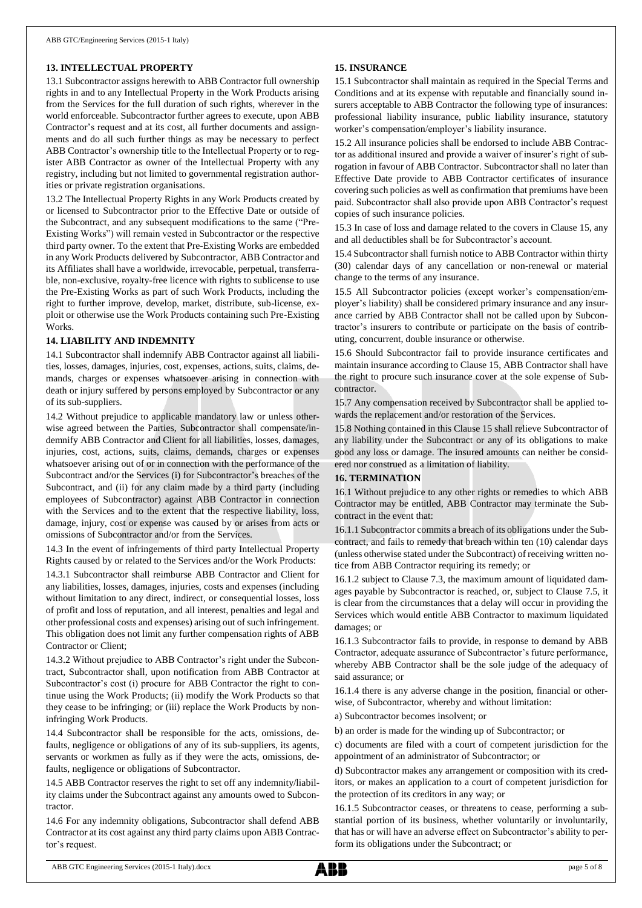## **13. INTELLECTUAL PROPERTY**

13.1 Subcontractor assigns herewith to ABB Contractor full ownership rights in and to any Intellectual Property in the Work Products arising from the Services for the full duration of such rights, wherever in the world enforceable. Subcontractor further agrees to execute, upon ABB Contractor's request and at its cost, all further documents and assignments and do all such further things as may be necessary to perfect ABB Contractor's ownership title to the Intellectual Property or to register ABB Contractor as owner of the Intellectual Property with any registry, including but not limited to governmental registration authorities or private registration organisations.

13.2 The Intellectual Property Rights in any Work Products created by or licensed to Subcontractor prior to the Effective Date or outside of the Subcontract, and any subsequent modifications to the same ("Pre-Existing Works") will remain vested in Subcontractor or the respective third party owner. To the extent that Pre-Existing Works are embedded in any Work Products delivered by Subcontractor, ABB Contractor and its Affiliates shall have a worldwide, irrevocable, perpetual, transferrable, non-exclusive, royalty-free licence with rights to sublicense to use the Pre-Existing Works as part of such Work Products, including the right to further improve, develop, market, distribute, sub-license, exploit or otherwise use the Work Products containing such Pre-Existing Works.

### **14. LIABILITY AND INDEMNITY**

14.1 Subcontractor shall indemnify ABB Contractor against all liabilities, losses, damages, injuries, cost, expenses, actions, suits, claims, demands, charges or expenses whatsoever arising in connection with death or injury suffered by persons employed by Subcontractor or any of its sub-suppliers.

14.2 Without prejudice to applicable mandatory law or unless otherwise agreed between the Parties, Subcontractor shall compensate/indemnify ABB Contractor and Client for all liabilities, losses, damages, injuries, cost, actions, suits, claims, demands, charges or expenses whatsoever arising out of or in connection with the performance of the Subcontract and/or the Services (i) for Subcontractor's breaches of the Subcontract, and (ii) for any claim made by a third party (including employees of Subcontractor) against ABB Contractor in connection with the Services and to the extent that the respective liability, loss, damage, injury, cost or expense was caused by or arises from acts or omissions of Subcontractor and/or from the Services.

14.3 In the event of infringements of third party Intellectual Property Rights caused by or related to the Services and/or the Work Products:

14.3.1 Subcontractor shall reimburse ABB Contractor and Client for any liabilities, losses, damages, injuries, costs and expenses (including without limitation to any direct, indirect, or consequential losses, loss of profit and loss of reputation, and all interest, penalties and legal and other professional costs and expenses) arising out of such infringement. This obligation does not limit any further compensation rights of ABB Contractor or Client;

14.3.2 Without prejudice to ABB Contractor's right under the Subcontract, Subcontractor shall, upon notification from ABB Contractor at Subcontractor's cost (i) procure for ABB Contractor the right to continue using the Work Products; (ii) modify the Work Products so that they cease to be infringing; or (iii) replace the Work Products by noninfringing Work Products.

14.4 Subcontractor shall be responsible for the acts, omissions, defaults, negligence or obligations of any of its sub-suppliers, its agents, servants or workmen as fully as if they were the acts, omissions, defaults, negligence or obligations of Subcontractor.

14.5 ABB Contractor reserves the right to set off any indemnity/liability claims under the Subcontract against any amounts owed to Subcontractor.

14.6 For any indemnity obligations, Subcontractor shall defend ABB Contractor at its cost against any third party claims upon ABB Contractor's request.

## **15. INSURANCE**

15.1 Subcontractor shall maintain as required in the Special Terms and Conditions and at its expense with reputable and financially sound insurers acceptable to ABB Contractor the following type of insurances: professional liability insurance, public liability insurance, statutory worker's compensation/employer's liability insurance.

15.2 All insurance policies shall be endorsed to include ABB Contractor as additional insured and provide a waiver of insurer's right of subrogation in favour of ABB Contractor. Subcontractor shall no later than Effective Date provide to ABB Contractor certificates of insurance covering such policies as well as confirmation that premiums have been paid. Subcontractor shall also provide upon ABB Contractor's request copies of such insurance policies.

15.3 In case of loss and damage related to the covers in Clause 15, any and all deductibles shall be for Subcontractor's account.

15.4 Subcontractor shall furnish notice to ABB Contractor within thirty (30) calendar days of any cancellation or non-renewal or material change to the terms of any insurance.

15.5 All Subcontractor policies (except worker's compensation/employer's liability) shall be considered primary insurance and any insurance carried by ABB Contractor shall not be called upon by Subcontractor's insurers to contribute or participate on the basis of contributing, concurrent, double insurance or otherwise.

15.6 Should Subcontractor fail to provide insurance certificates and maintain insurance according to Clause 15, ABB Contractor shall have the right to procure such insurance cover at the sole expense of Subcontractor.

15.7 Any compensation received by Subcontractor shall be applied towards the replacement and/or restoration of the Services.

15.8 Nothing contained in this Clause 15 shall relieve Subcontractor of any liability under the Subcontract or any of its obligations to make good any loss or damage. The insured amounts can neither be considered nor construed as a limitation of liability.

#### **16. TERMINATION**

16.1 Without prejudice to any other rights or remedies to which ABB Contractor may be entitled, ABB Contractor may terminate the Subcontract in the event that:

16.1.1 Subcontractor commits a breach of its obligations under the Subcontract, and fails to remedy that breach within ten (10) calendar days (unless otherwise stated under the Subcontract) of receiving written notice from ABB Contractor requiring its remedy; or

16.1.2 subject to Clause 7.3, the maximum amount of liquidated damages payable by Subcontractor is reached, or, subject to Clause 7.5, it is clear from the circumstances that a delay will occur in providing the Services which would entitle ABB Contractor to maximum liquidated damages; or

16.1.3 Subcontractor fails to provide, in response to demand by ABB Contractor, adequate assurance of Subcontractor's future performance, whereby ABB Contractor shall be the sole judge of the adequacy of said assurance; or

16.1.4 there is any adverse change in the position, financial or otherwise, of Subcontractor, whereby and without limitation:

a) Subcontractor becomes insolvent; or

b) an order is made for the winding up of Subcontractor; or

c) documents are filed with a court of competent jurisdiction for the appointment of an administrator of Subcontractor; or

d) Subcontractor makes any arrangement or composition with its creditors, or makes an application to a court of competent jurisdiction for the protection of its creditors in any way; or

16.1.5 Subcontractor ceases, or threatens to cease, performing a substantial portion of its business, whether voluntarily or involuntarily, that has or will have an adverse effect on Subcontractor's ability to perform its obligations under the Subcontract; or

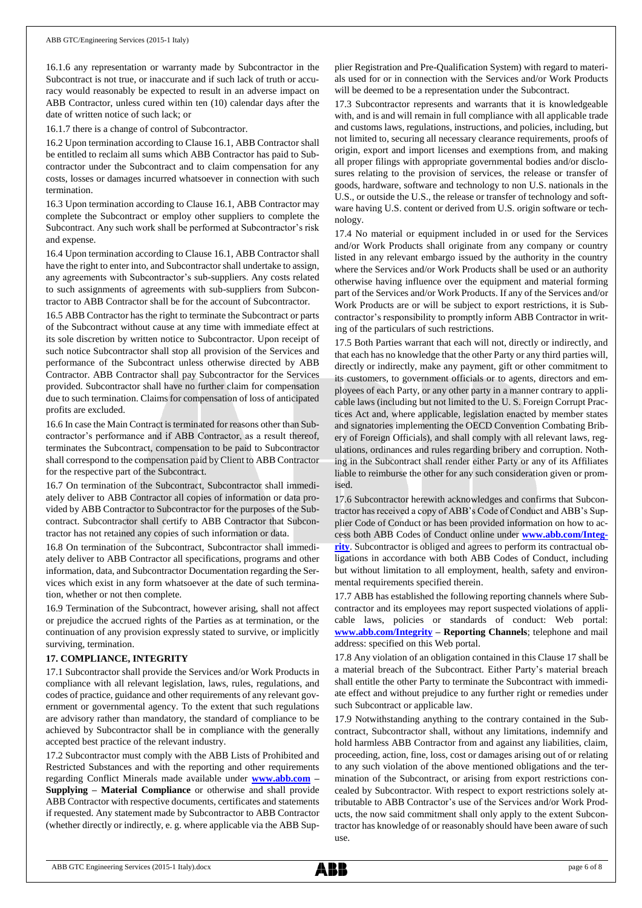16.1.6 any representation or warranty made by Subcontractor in the Subcontract is not true, or inaccurate and if such lack of truth or accuracy would reasonably be expected to result in an adverse impact on ABB Contractor, unless cured within ten (10) calendar days after the date of written notice of such lack; or

16.1.7 there is a change of control of Subcontractor.

16.2 Upon termination according to Clause 16.1, ABB Contractor shall be entitled to reclaim all sums which ABB Contractor has paid to Subcontractor under the Subcontract and to claim compensation for any costs, losses or damages incurred whatsoever in connection with such termination.

16.3 Upon termination according to Clause 16.1, ABB Contractor may complete the Subcontract or employ other suppliers to complete the Subcontract. Any such work shall be performed at Subcontractor's risk and expense.

16.4 Upon termination according to Clause 16.1, ABB Contractor shall have the right to enter into, and Subcontractor shall undertake to assign, any agreements with Subcontractor's sub-suppliers. Any costs related to such assignments of agreements with sub-suppliers from Subcontractor to ABB Contractor shall be for the account of Subcontractor.

16.5 ABB Contractor has the right to terminate the Subcontract or parts of the Subcontract without cause at any time with immediate effect at its sole discretion by written notice to Subcontractor. Upon receipt of such notice Subcontractor shall stop all provision of the Services and performance of the Subcontract unless otherwise directed by ABB Contractor. ABB Contractor shall pay Subcontractor for the Services provided. Subcontractor shall have no further claim for compensation due to such termination. Claims for compensation of loss of anticipated profits are excluded.

16.6 In case the Main Contract is terminated for reasons other than Subcontractor's performance and if ABB Contractor, as a result thereof, terminates the Subcontract, compensation to be paid to Subcontractor shall correspond to the compensation paid by Client to ABB Contractor for the respective part of the Subcontract.

16.7 On termination of the Subcontract, Subcontractor shall immediately deliver to ABB Contractor all copies of information or data provided by ABB Contractor to Subcontractor for the purposes of the Subcontract. Subcontractor shall certify to ABB Contractor that Subcontractor has not retained any copies of such information or data.

16.8 On termination of the Subcontract, Subcontractor shall immediately deliver to ABB Contractor all specifications, programs and other information, data, and Subcontractor Documentation regarding the Services which exist in any form whatsoever at the date of such termination, whether or not then complete.

16.9 Termination of the Subcontract, however arising, shall not affect or prejudice the accrued rights of the Parties as at termination, or the continuation of any provision expressly stated to survive, or implicitly surviving, termination.

## **17. COMPLIANCE, INTEGRITY**

17.1 Subcontractor shall provide the Services and/or Work Products in compliance with all relevant legislation, laws, rules, regulations, and codes of practice, guidance and other requirements of any relevant government or governmental agency. To the extent that such regulations are advisory rather than mandatory, the standard of compliance to be achieved by Subcontractor shall be in compliance with the generally accepted best practice of the relevant industry.

17.2 Subcontractor must comply with the ABB Lists of Prohibited and Restricted Substances and with the reporting and other requirements regarding Conflict Minerals made available under **[www.abb.com](http://www.abb.com/) – Supplying – Material Compliance** or otherwise and shall provide ABB Contractor with respective documents, certificates and statements if requested. Any statement made by Subcontractor to ABB Contractor (whether directly or indirectly, e. g. where applicable via the ABB Supplier Registration and Pre-Qualification System) with regard to materials used for or in connection with the Services and/or Work Products will be deemed to be a representation under the Subcontract.

17.3 Subcontractor represents and warrants that it is knowledgeable with, and is and will remain in full compliance with all applicable trade and customs laws, regulations, instructions, and policies, including, but not limited to, securing all necessary clearance requirements, proofs of origin, export and import licenses and exemptions from, and making all proper filings with appropriate governmental bodies and/or disclosures relating to the provision of services, the release or transfer of goods, hardware, software and technology to non U.S. nationals in the U.S., or outside the U.S., the release or transfer of technology and software having U.S. content or derived from U.S. origin software or technology.

17.4 No material or equipment included in or used for the Services and/or Work Products shall originate from any company or country listed in any relevant embargo issued by the authority in the country where the Services and/or Work Products shall be used or an authority otherwise having influence over the equipment and material forming part of the Services and/or Work Products. If any of the Services and/or Work Products are or will be subject to export restrictions, it is Subcontractor's responsibility to promptly inform ABB Contractor in writing of the particulars of such restrictions.

17.5 Both Parties warrant that each will not, directly or indirectly, and that each has no knowledge that the other Party or any third parties will, directly or indirectly, make any payment, gift or other commitment to its customers, to government officials or to agents, directors and employees of each Party, or any other party in a manner contrary to applicable laws (including but not limited to the U. S. Foreign Corrupt Practices Act and, where applicable, legislation enacted by member states and signatories implementing the OECD Convention Combating Bribery of Foreign Officials), and shall comply with all relevant laws, regulations, ordinances and rules regarding bribery and corruption. Nothing in the Subcontract shall render either Party or any of its Affiliates liable to reimburse the other for any such consideration given or promised.

17.6 Subcontractor herewith acknowledges and confirms that Subcontractor has received a copy of ABB's Code of Conduct and ABB's Supplier Code of Conduct or has been provided information on how to access both ABB Codes of Conduct online under **[www.abb.com/Integ](http://www.abb.com/Integrity)[rity](http://www.abb.com/Integrity)**. Subcontractor is obliged and agrees to perform its contractual obligations in accordance with both ABB Codes of Conduct, including but without limitation to all employment, health, safety and environmental requirements specified therein.

17.7 ABB has established the following reporting channels where Subcontractor and its employees may report suspected violations of applicable laws, policies or standards of conduct: Web portal: **[www.abb.com/Integrity](http://www.abb.com/Integrity) – Reporting Channels**; telephone and mail address: specified on this Web portal.

17.8 Any violation of an obligation contained in this Clause 17 shall be a material breach of the Subcontract. Either Party's material breach shall entitle the other Party to terminate the Subcontract with immediate effect and without prejudice to any further right or remedies under such Subcontract or applicable law.

17.9 Notwithstanding anything to the contrary contained in the Subcontract, Subcontractor shall, without any limitations, indemnify and hold harmless ABB Contractor from and against any liabilities, claim, proceeding, action, fine, loss, cost or damages arising out of or relating to any such violation of the above mentioned obligations and the termination of the Subcontract, or arising from export restrictions concealed by Subcontractor. With respect to export restrictions solely attributable to ABB Contractor's use of the Services and/or Work Products, the now said commitment shall only apply to the extent Subcontractor has knowledge of or reasonably should have been aware of such use.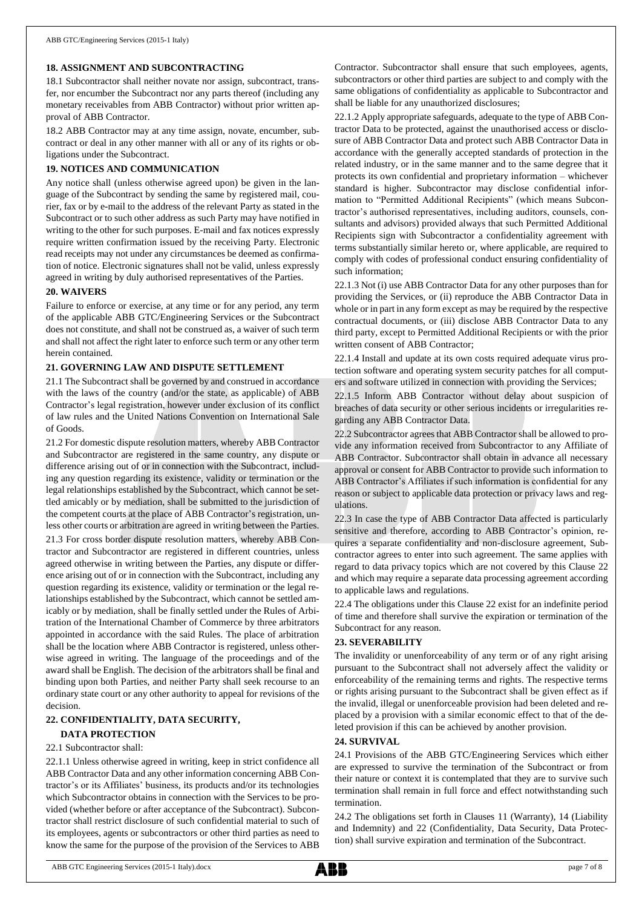## **18. ASSIGNMENT AND SUBCONTRACTING**

18.1 Subcontractor shall neither novate nor assign, subcontract, transfer, nor encumber the Subcontract nor any parts thereof (including any monetary receivables from ABB Contractor) without prior written approval of ABB Contractor.

18.2 ABB Contractor may at any time assign, novate, encumber, subcontract or deal in any other manner with all or any of its rights or obligations under the Subcontract.

## **19. NOTICES AND COMMUNICATION**

Any notice shall (unless otherwise agreed upon) be given in the language of the Subcontract by sending the same by registered mail, courier, fax or by e-mail to the address of the relevant Party as stated in the Subcontract or to such other address as such Party may have notified in writing to the other for such purposes. E-mail and fax notices expressly require written confirmation issued by the receiving Party. Electronic read receipts may not under any circumstances be deemed as confirmation of notice. Electronic signatures shall not be valid, unless expressly agreed in writing by duly authorised representatives of the Parties.

## **20. WAIVERS**

Failure to enforce or exercise, at any time or for any period, any term of the applicable ABB GTC/Engineering Services or the Subcontract does not constitute, and shall not be construed as, a waiver of such term and shall not affect the right later to enforce such term or any other term herein contained.

### **21. GOVERNING LAW AND DISPUTE SETTLEMENT**

21.1 The Subcontract shall be governed by and construed in accordance with the laws of the country (and/or the state, as applicable) of ABB Contractor's legal registration, however under exclusion of its conflict of law rules and the United Nations Convention on International Sale of Goods.

21.2 For domestic dispute resolution matters, whereby ABB Contractor and Subcontractor are registered in the same country, any dispute or difference arising out of or in connection with the Subcontract, including any question regarding its existence, validity or termination or the legal relationships established by the Subcontract, which cannot be settled amicably or by mediation, shall be submitted to the jurisdiction of the competent courts at the place of ABB Contractor's registration, unless other courts or arbitration are agreed in writing between the Parties.

21.3 For cross border dispute resolution matters, whereby ABB Contractor and Subcontractor are registered in different countries, unless agreed otherwise in writing between the Parties, any dispute or difference arising out of or in connection with the Subcontract, including any question regarding its existence, validity or termination or the legal relationships established by the Subcontract, which cannot be settled amicably or by mediation, shall be finally settled under the Rules of Arbitration of the International Chamber of Commerce by three arbitrators appointed in accordance with the said Rules. The place of arbitration shall be the location where ABB Contractor is registered, unless otherwise agreed in writing. The language of the proceedings and of the award shall be English. The decision of the arbitrators shall be final and binding upon both Parties, and neither Party shall seek recourse to an ordinary state court or any other authority to appeal for revisions of the decision.

## **22. CONFIDENTIALITY, DATA SECURITY,**

## **DATA PROTECTION**

## 22.1 Subcontractor shall:

22.1.1 Unless otherwise agreed in writing, keep in strict confidence all ABB Contractor Data and any other information concerning ABB Contractor's or its Affiliates' business, its products and/or its technologies which Subcontractor obtains in connection with the Services to be provided (whether before or after acceptance of the Subcontract). Subcontractor shall restrict disclosure of such confidential material to such of its employees, agents or subcontractors or other third parties as need to know the same for the purpose of the provision of the Services to ABB Contractor. Subcontractor shall ensure that such employees, agents, subcontractors or other third parties are subject to and comply with the same obligations of confidentiality as applicable to Subcontractor and shall be liable for any unauthorized disclosures;

22.1.2 Apply appropriate safeguards, adequate to the type of ABB Contractor Data to be protected, against the unauthorised access or disclosure of ABB Contractor Data and protect such ABB Contractor Data in accordance with the generally accepted standards of protection in the related industry, or in the same manner and to the same degree that it protects its own confidential and proprietary information – whichever standard is higher. Subcontractor may disclose confidential information to "Permitted Additional Recipients" (which means Subcontractor's authorised representatives, including auditors, counsels, consultants and advisors) provided always that such Permitted Additional Recipients sign with Subcontractor a confidentiality agreement with terms substantially similar hereto or, where applicable, are required to comply with codes of professional conduct ensuring confidentiality of such information;

22.1.3 Not (i) use ABB Contractor Data for any other purposes than for providing the Services, or (ii) reproduce the ABB Contractor Data in whole or in part in any form except as may be required by the respective contractual documents, or (iii) disclose ABB Contractor Data to any third party, except to Permitted Additional Recipients or with the prior written consent of ABB Contractor;

22.1.4 Install and update at its own costs required adequate virus protection software and operating system security patches for all computers and software utilized in connection with providing the Services;

22.1.5 Inform ABB Contractor without delay about suspicion of breaches of data security or other serious incidents or irregularities regarding any ABB Contractor Data.

22.2 Subcontractor agrees that ABB Contractor shall be allowed to provide any information received from Subcontractor to any Affiliate of ABB Contractor. Subcontractor shall obtain in advance all necessary approval or consent for ABB Contractor to provide such information to ABB Contractor's Affiliates if such information is confidential for any reason or subject to applicable data protection or privacy laws and regulations.

22.3 In case the type of ABB Contractor Data affected is particularly sensitive and therefore, according to ABB Contractor's opinion, requires a separate confidentiality and non-disclosure agreement, Subcontractor agrees to enter into such agreement. The same applies with regard to data privacy topics which are not covered by this Clause 22 and which may require a separate data processing agreement according to applicable laws and regulations.

22.4 The obligations under this Clause 22 exist for an indefinite period of time and therefore shall survive the expiration or termination of the Subcontract for any reason.

## **23. SEVERABILITY**

The invalidity or unenforceability of any term or of any right arising pursuant to the Subcontract shall not adversely affect the validity or enforceability of the remaining terms and rights. The respective terms or rights arising pursuant to the Subcontract shall be given effect as if the invalid, illegal or unenforceable provision had been deleted and replaced by a provision with a similar economic effect to that of the deleted provision if this can be achieved by another provision.

## **24. SURVIVAL**

24.1 Provisions of the ABB GTC/Engineering Services which either are expressed to survive the termination of the Subcontract or from their nature or context it is contemplated that they are to survive such termination shall remain in full force and effect notwithstanding such termination.

24.2 The obligations set forth in Clauses 11 (Warranty), 14 (Liability and Indemnity) and 22 (Confidentiality, Data Security, Data Protection) shall survive expiration and termination of the Subcontract.